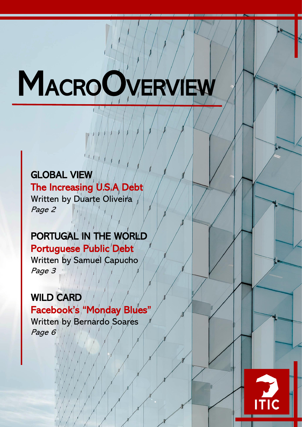# **MACROOVERVIEW**

# GLOBAL VIEW

The Increasing U.S.A Debt Written by Duarte Oliveira Page 2

# PORTUGAL IN THE WORLD

Portuguese Public Debt Written by Samuel Capucho Page 3

# WILD CARD

Facebook's "Monday Blues" Written by Bernardo Soares Page 6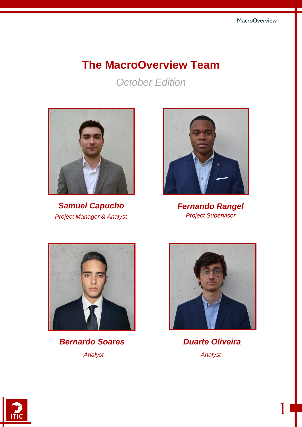# **The MacroOverview Team**

*October Edition*



*Samuel Capucho Fernando Rangel Project Manager & Analyst Project Supervisor*





*Analyst Analyst Bernardo Soares*



*Duarte Oliveira*

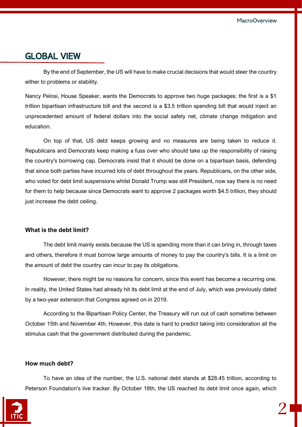## GLOBAL VIEW

By the end of September, the US will have to make crucial decisions that would steer the country either to problems or stability.

Nancy Pelosi, House Speaker, wants the Democrats to approve two huge packages: the first is a \$1 trillion bipartisan infrastructure bill and the second is a \$3.5 trillion spending bill that would inject an unprecedented amount of federal dollars into the social safety net, climate change mitigation and education.

On top of that, US debt keeps growing and no measures are being taken to reduce it. Republicans and Democrats keep making a fuss over who should take up the responsibility of raising the country's borrowing cap. Democrats insist that it should be done on a bipartisan basis, defending that since both parties have incurred lots of debt throughout the years. Republicans, on the other side, who voted for debt limit suspensions whilst Donald Trump was still President, now say there is no need for them to help because since Democrats want to approve 2 packages worth \$4.5 trillion, they should just increase the debt ceiling.

#### **What is the debt limit?**

The debt limit mainly exists because the US is spending more than it can bring in, through taxes and others, therefore it must borrow large amounts of money to pay the country's bills. It is a limit on the amount of debt the country can incur to pay its obligations.

However, there might be no reasons for concern, since this event has become a recurring one. In reality, the United States had already hit its debt limit at the end of July, which was previously dated by a two-year extension that Congress agreed on in 2019.

According to the Bipartisan Policy Center, the Treasury will run out of cash sometime between October 15th and November 4th. However, this date is hard to predict taking into consideration all the stimulus cash that the government distributed during the pandemic.

#### **How much debt?**

To have an idea of the number, the U.S. national debt stands at \$28.45 trillion, according to Peterson Foundation's live tracker. By October 18th, the US reached its debt limit once again, which

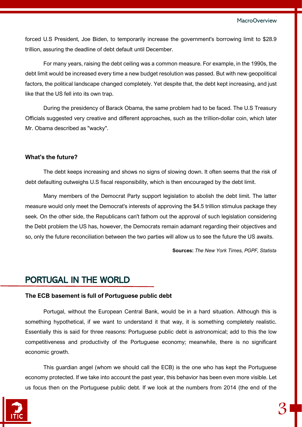forced U.S President, Joe Biden, to temporarily increase the government's borrowing limit to \$28.9 trillion, assuring the deadline of debt default until December.

For many years, raising the debt ceiling was a common measure. For example, in the 1990s, the debt limit would be increased every time a new budget resolution was passed. But with new geopolitical factors, the political landscape changed completely. Yet despite that, the debt kept increasing, and just like that the US fell into its own trap.

During the presidency of Barack Obama, the same problem had to be faced. The U.S Treasury Officials suggested very creative and different approaches, such as the trillion-dollar coin, which later Mr. Obama described as "wacky".

#### **What's the future?**

The debt keeps increasing and shows no signs of slowing down. It often seems that the risk of debt defaulting outweighs U.S fiscal responsibility, which is then encouraged by the debt limit.

Many members of the Democrat Party support legislation to abolish the debt limit. The latter measure would only meet the Democrat's interests of approving the \$4.5 trillion stimulus package they seek. On the other side, the Republicans can't fathom out the approval of such legislation considering the Debt problem the US has, however, the Democrats remain adamant regarding their objectives and so, only the future reconciliation between the two parties will allow us to see the future the US awaits.

**Sources:** *The New York Times, PGPF, Statista*

## PORTUGAL IN THE WORLD

#### **The ECB basement is full of Portuguese public debt**

Portugal, without the European Central Bank, would be in a hard situation. Although this is something hypothetical, if we want to understand it that way, it is something completely realistic. Essentially this is said for three reasons: Portuguese public debt is astronomical; add to this the low competitiveness and productivity of the Portuguese economy; meanwhile, there is no significant economic growth.

This guardian angel (whom we should call the ECB) is the one who has kept the Portuguese economy protected. If we take into account the past year, this behavior has been even more visible. Let us focus then on the Portuguese public debt. If we look at the numbers from 2014 (the end of the

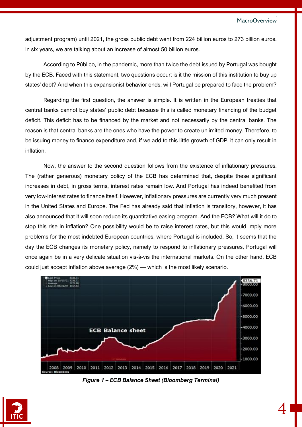4

adjustment program) until 2021, the gross public debt went from 224 billion euros to 273 billion euros. In six years, we are talking about an increase of almost 50 billion euros.

According to Público, in the pandemic, more than twice the debt issued by Portugal was bought by the ECB. Faced with this statement, two questions occur: is it the mission of this institution to buy up states' debt? And when this expansionist behavior ends, will Portugal be prepared to face the problem?

Regarding the first question, the answer is simple. It is written in the European treaties that central banks cannot buy states' public debt because this is called monetary financing of the budget deficit. This deficit has to be financed by the market and not necessarily by the central banks. The reason is that central banks are the ones who have the power to create unlimited money. Therefore, to be issuing money to finance expenditure and, if we add to this little growth of GDP, it can only result in inflation.

Now, the answer to the second question follows from the existence of inflationary pressures. The (rather generous) monetary policy of the ECB has determined that, despite these significant increases in debt, in gross terms, interest rates remain low. And Portugal has indeed benefited from very low-interest rates to finance itself. However, inflationary pressures are currently very much present in the United States and Europe. The Fed has already said that inflation is transitory, however, it has also announced that it will soon reduce its quantitative easing program. And the ECB? What will it do to stop this rise in inflation? One possibility would be to raise interest rates, but this would imply more problems for the most indebted European countries, where Portugal is included. So, it seems that the day the ECB changes its monetary policy, namely to respond to inflationary pressures, Portugal will once again be in a very delicate situation vis-à-vis the international markets. On the other hand, ECB could just accept inflation above average (2%) — which is the most likely scenario.



*Figure 1 – ECB Balance Sheet (Bloomberg Terminal)*

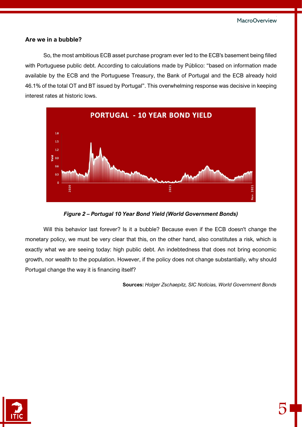#### **Are we in a bubble?**

So, the most ambitious ECB asset purchase program ever led to the ECB's basement being filled with Portuguese public debt. According to calculations made by Público: "based on information made available by the ECB and the Portuguese Treasury, the Bank of Portugal and the ECB already hold 46.1% of the total OT and BT issued by Portugal". This overwhelming response was decisive in keeping interest rates at historic lows.





Will this behavior last forever? Is it a bubble? Because even if the ECB doesn't change the monetary policy, we must be very clear that this, on the other hand, also constitutes a risk, which is exactly what we are seeing today: high public debt. An indebtedness that does not bring economic growth, nor wealth to the population. However, if the policy does not change substantially, why should Portugal change the way it is financing itself?

**Sources:** *Holger Zschaepitz, SIC Notícias, World Government Bonds*

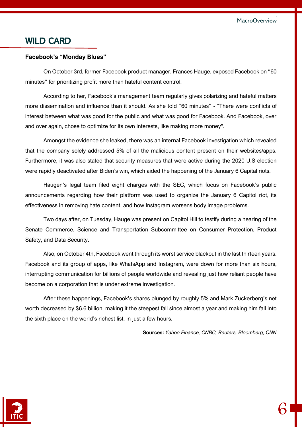## WILD CARD

#### **Facebook's "Monday Blues"**

On October 3rd, former Facebook product manager, Frances Hauge, exposed Facebook on "60 minutes" for prioritizing profit more than hateful content control.

According to her, Facebook's management team regularly gives polarizing and hateful matters more dissemination and influence than it should. As she told "60 minutes" - "There were conflicts of interest between what was good for the public and what was good for Facebook. And Facebook, over and over again, chose to optimize for its own interests, like making more money".

Amongst the evidence she leaked, there was an internal Facebook investigation which revealed that the company solely addressed 5% of all the malicious content present on their websites/apps. Furthermore, it was also stated that security measures that were active during the 2020 U.S election were rapidly deactivated after Biden's win, which aided the happening of the January 6 Capital riots.

Haugen's legal team filed eight charges with the SEC, which focus on Facebook's public announcements regarding how their platform was used to organize the January 6 Capitol riot, its effectiveness in removing hate content, and how Instagram worsens body image problems.

Two days after, on Tuesday, Hauge was present on Capitol Hill to testify during a hearing of the Senate Commerce, Science and Transportation Subcommittee on Consumer Protection, Product Safety, and Data Security.

Also, on October 4th, Facebook went through its worst service blackout in the last thirteen years. Facebook and its group of apps, like WhatsApp and Instagram, were down for more than six hours, interrupting communication for billions of people worldwide and revealing just how reliant people have become on a corporation that is under extreme investigation.

After these happenings, Facebook's shares plunged by roughly 5% and Mark Zuckerberg's net worth decreased by \$6.6 billion, making it the steepest fall since almost a year and making him fall into the sixth place on the world's richest list, in just a few hours.

**Sources:** *Yahoo Finance, CNBC, Reuters, Bloomberg, CNN*